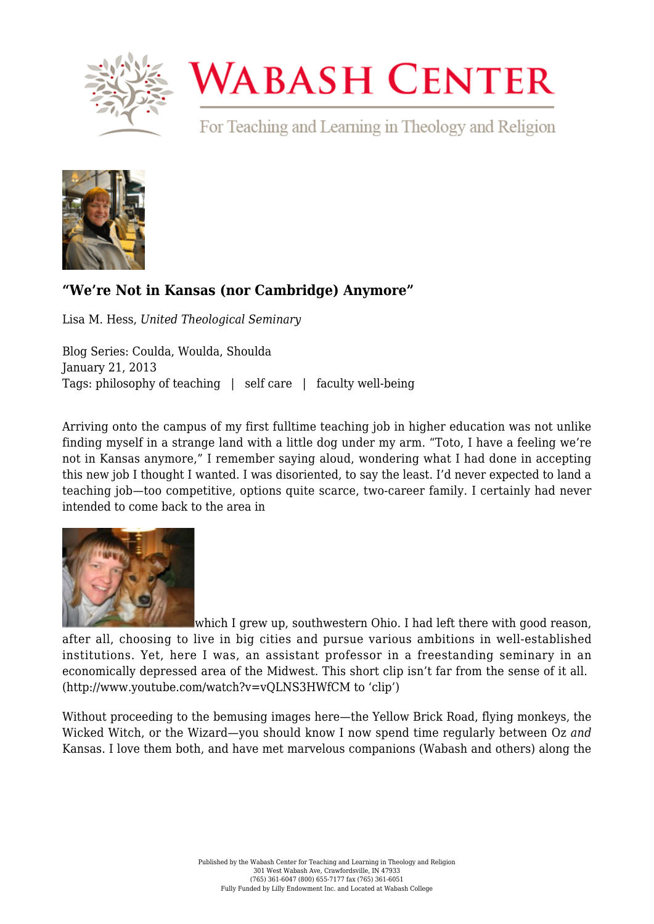

## **WABASH CENTER**

For Teaching and Learning in Theology and Religion



## **["We're Not in Kansas \(nor Cambridge\) Anymore"](https://www.wabashcenter.wabash.edu/2013/01/were-not-in-kansas-nor-cambridge-anymore/)**

Lisa M. Hess, *United Theological Seminary*

Blog Series: Coulda, Woulda, Shoulda January 21, 2013 Tags: philosophy of teaching | self care | faculty well-being

Arriving onto the campus of my first fulltime teaching job in higher education was not unlike finding myself in a strange land with a little dog under my arm. "Toto, I have a feeling we're not in Kansas anymore," I remember saying aloud, wondering what I had done in accepting this new job I thought I wanted. I was disoriented, to say the least. I'd never expected to land a teaching job—too competitive, options quite scarce, two-career family. I certainly had never intended to come back to the area in



which I grew up, southwestern Ohio. I had left there with good reason, after all, choosing to live in big cities and pursue various ambitions in well-established institutions. Yet, here I was, an assistant professor in a freestanding seminary in an economically depressed area of the Midwest. This short clip isn't far from the sense of it all. (<http://www.youtube.com/watch?v=vQLNS3HWfCM> to 'clip')

Without proceeding to the bemusing images here—the Yellow Brick Road, flying monkeys, the Wicked Witch, or the Wizard—you should know I now spend time regularly between Oz *and* Kansas. I love them both, and have met marvelous companions (Wabash and others) along the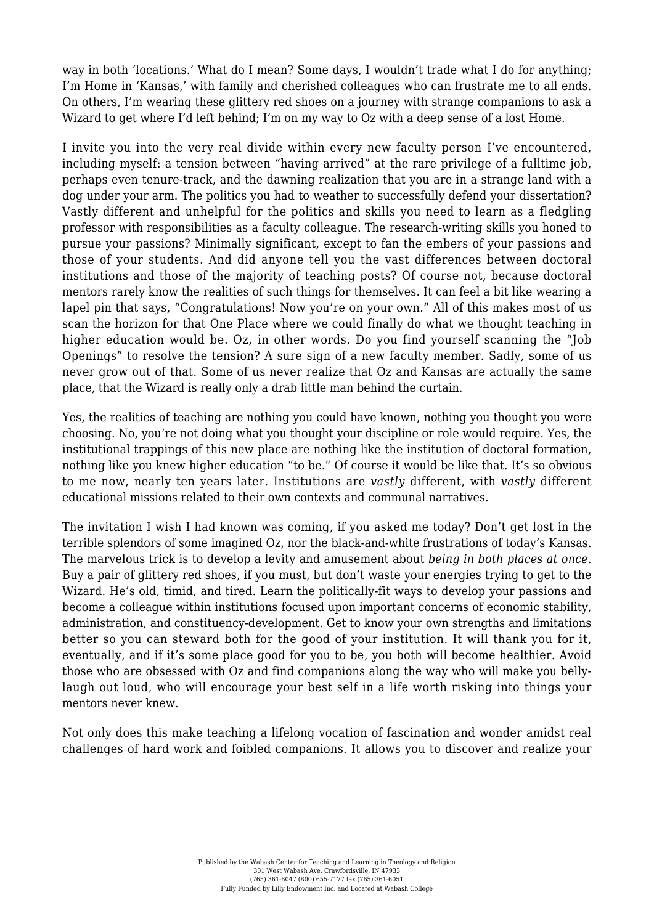way in both 'locations.' What do I mean? Some days, I wouldn't trade what I do for anything; I'm Home in 'Kansas,' with family and cherished colleagues who can frustrate me to all ends. On others, I'm wearing these glittery red shoes on a journey with strange companions to ask a Wizard to get where I'd left behind; I'm on my way to Oz with a deep sense of a lost Home.

I invite you into the very real divide within every new faculty person I've encountered, including myself: a tension between "having arrived" at the rare privilege of a fulltime job, perhaps even tenure-track, and the dawning realization that you are in a strange land with a dog under your arm. The politics you had to weather to successfully defend your dissertation? Vastly different and unhelpful for the politics and skills you need to learn as a fledgling professor with responsibilities as a faculty colleague. The research-writing skills you honed to pursue your passions? Minimally significant, except to fan the embers of your passions and those of your students. And did anyone tell you the vast differences between doctoral institutions and those of the majority of teaching posts? Of course not, because doctoral mentors rarely know the realities of such things for themselves. It can feel a bit like wearing a lapel pin that says, "Congratulations! Now you're on your own." All of this makes most of us scan the horizon for that One Place where we could finally do what we thought teaching in higher education would be. Oz, in other words. Do you find yourself scanning the "Job Openings" to resolve the tension? A sure sign of a new faculty member. Sadly, some of us never grow out of that. Some of us never realize that Oz and Kansas are actually the same place, that the Wizard is really only a drab little man behind the curtain.

Yes, the realities of teaching are nothing you could have known, nothing you thought you were choosing. No, you're not doing what you thought your discipline or role would require. Yes, the institutional trappings of this new place are nothing like the institution of doctoral formation, nothing like you knew higher education "to be." Of course it would be like that. It's so obvious to me now, nearly ten years later. Institutions are *vastly* different, with *vastly* different educational missions related to their own contexts and communal narratives.

The invitation I wish I had known was coming, if you asked me today? Don't get lost in the terrible splendors of some imagined Oz, nor the black-and-white frustrations of today's Kansas. The marvelous trick is to develop a levity and amusement about *being in both places at once*. Buy a pair of glittery red shoes, if you must, but don't waste your energies trying to get to the Wizard. He's old, timid, and tired. Learn the politically-fit ways to develop your passions and become a colleague within institutions focused upon important concerns of economic stability, administration, and constituency-development. Get to know your own strengths and limitations better so you can steward both for the good of your institution. It will thank you for it, eventually, and if it's some place good for you to be, you both will become healthier. Avoid those who are obsessed with Oz and find companions along the way who will make you bellylaugh out loud, who will encourage your best self in a life worth risking into things your mentors never knew.

Not only does this make teaching a lifelong vocation of fascination and wonder amidst real challenges of hard work and foibled companions. It allows you to discover and realize your